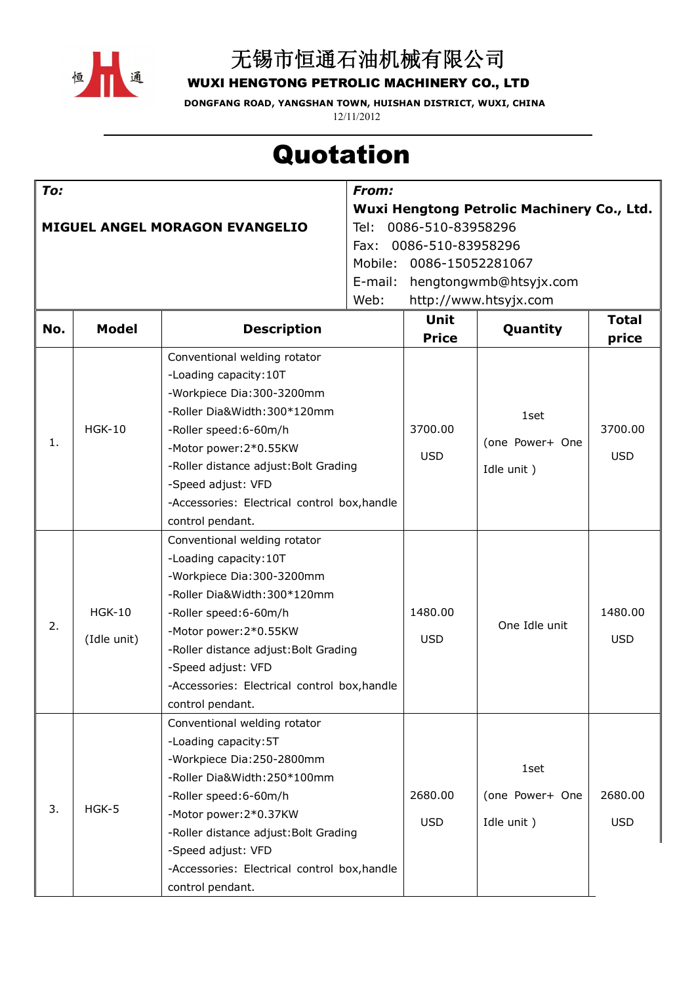

### 无锡市恒通石油机械有限公司

**WUXI HENGTONG PETROLIC MACHINERY CO., LTD**

**DONGFANG ROAD, YANGSHAN TOWN, HUISHAN DISTRICT, WUXI, CHINA** 12/11/2012

# **Quotation**

| To:                                   |                              |                                              | From:                                                    |                      |                 |            |  |
|---------------------------------------|------------------------------|----------------------------------------------|----------------------------------------------------------|----------------------|-----------------|------------|--|
|                                       |                              |                                              | Wuxi Hengtong Petrolic Machinery Co., Ltd.               |                      |                 |            |  |
| <b>MIGUEL ANGEL MORAGON EVANGELIO</b> |                              |                                              | 0086-510-83958296<br>Tel:                                |                      |                 |            |  |
|                                       |                              |                                              | 0086-510-83958296<br>Fax:<br>Mobile:<br>0086-15052281067 |                      |                 |            |  |
|                                       |                              |                                              | E-mail:                                                  |                      |                 |            |  |
|                                       |                              |                                              | hengtongwmb@htsyjx.com<br>Web:<br>http://www.htsyjx.com  |                      |                 |            |  |
|                                       |                              |                                              |                                                          | Unit<br><b>Total</b> |                 |            |  |
| No.                                   | <b>Model</b>                 | <b>Description</b>                           |                                                          | <b>Price</b>         | Quantity        | price      |  |
|                                       | <b>HGK-10</b>                | Conventional welding rotator                 |                                                          |                      |                 |            |  |
|                                       |                              | -Loading capacity: 10T                       |                                                          |                      |                 |            |  |
| 1.                                    |                              | -Workpiece Dia:300-3200mm                    |                                                          |                      | 1set            |            |  |
|                                       |                              | -Roller Dia&Width:300*120mm                  |                                                          |                      |                 |            |  |
|                                       |                              | -Roller speed:6-60m/h                        |                                                          | 3700.00              | (one Power+ One | 3700.00    |  |
|                                       |                              | -Motor power: 2*0.55KW                       |                                                          | <b>USD</b>           |                 | <b>USD</b> |  |
|                                       |                              | -Roller distance adjust: Bolt Grading        |                                                          |                      | Idle unit)      |            |  |
|                                       |                              | -Speed adjust: VFD                           |                                                          |                      |                 |            |  |
|                                       |                              | -Accessories: Electrical control box, handle |                                                          |                      |                 |            |  |
|                                       |                              | control pendant.                             |                                                          |                      |                 |            |  |
| 2.                                    | <b>HGK-10</b><br>(Idle unit) | Conventional welding rotator                 |                                                          |                      |                 |            |  |
|                                       |                              | -Loading capacity: 10T                       |                                                          |                      | One Idle unit   |            |  |
|                                       |                              | -Workpiece Dia:300-3200mm                    |                                                          |                      |                 |            |  |
|                                       |                              | -Roller Dia&Width:300*120mm                  |                                                          |                      |                 |            |  |
|                                       |                              | -Roller speed:6-60m/h                        |                                                          | 1480.00              |                 | 1480.00    |  |
|                                       |                              | -Motor power: 2*0.55KW                       |                                                          | <b>USD</b>           |                 | <b>USD</b> |  |
|                                       |                              | -Roller distance adjust: Bolt Grading        |                                                          |                      |                 |            |  |
|                                       |                              | -Speed adjust: VFD                           |                                                          |                      |                 |            |  |
|                                       |                              | -Accessories: Electrical control box, handle |                                                          |                      |                 |            |  |
|                                       |                              | control pendant.                             |                                                          |                      |                 |            |  |
| 3.                                    | $H$ GK-5                     | Conventional welding rotator                 |                                                          |                      |                 |            |  |
|                                       |                              | -Loading capacity: 5T                        |                                                          |                      |                 |            |  |
|                                       |                              | -Workpiece Dia:250-2800mm                    |                                                          |                      | 1set            |            |  |
|                                       |                              | -Roller Dia&Width:250*100mm                  |                                                          |                      |                 |            |  |
|                                       |                              | -Roller speed:6-60m/h                        |                                                          | 2680.00              | (one Power+ One | 2680.00    |  |
|                                       |                              | -Motor power: 2*0.37KW                       |                                                          | <b>USD</b>           | Idle unit)      | <b>USD</b> |  |
|                                       |                              | -Roller distance adjust: Bolt Grading        |                                                          |                      |                 |            |  |
|                                       |                              | -Speed adjust: VFD                           |                                                          |                      |                 |            |  |
|                                       |                              | -Accessories: Electrical control box, handle |                                                          |                      |                 |            |  |
|                                       |                              | control pendant.                             |                                                          |                      |                 |            |  |